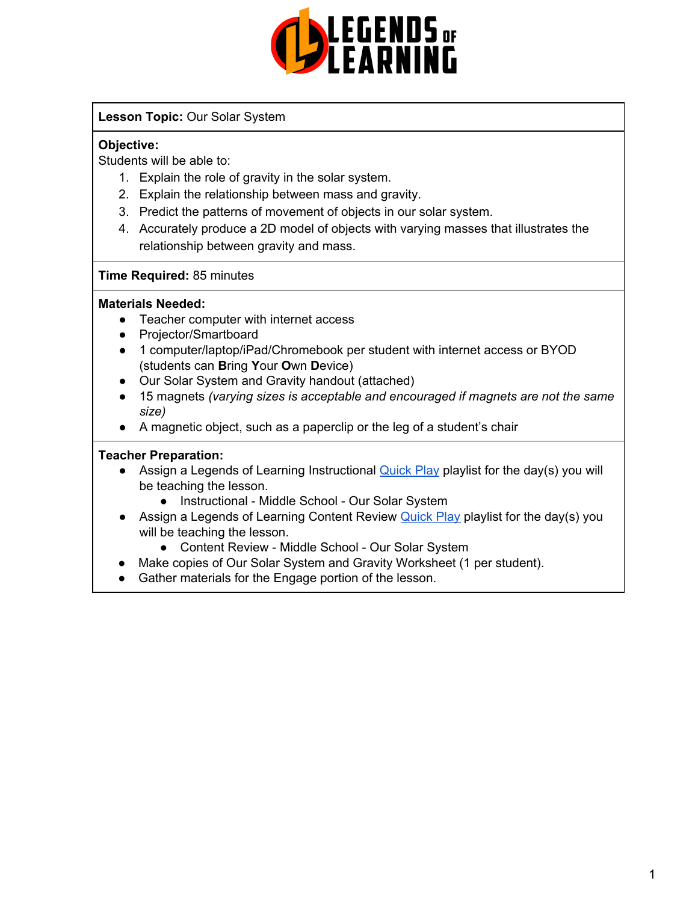

## **Lesson Topic:** Our Solar System

### **Objective:**

Students will be able to:

- 1. Explain the role of gravity in the solar system.
- 2. Explain the relationship between mass and gravity.
- 3. Predict the patterns of movement of objects in our solar system.
- 4. Accurately produce a 2D model of objects with varying masses that illustrates the relationship between gravity and mass.

## **Time Required:** 85 minutes

#### **Materials Needed:**

- Teacher computer with internet access
- Projector/Smartboard
- 1 computer/laptop/iPad/Chromebook per student with internet access or BYOD (students can **B**ring **Y**our **O**wn **D**evice)
- Our Solar System and Gravity handout (attached)
- 15 magnets *(varying sizes is acceptable and encouraged if magnets are not the same size)*
- A magnetic object, such as a paperclip or the leg of a student's chair

## **Teacher Preparation:**

- Assign a Legends of Learning Instructional [Quick](https://intercom.help/legends-of-learning/en/articles/2701866-assigning-a-quick-play-playlist) Play playlist for the day(s) you will be teaching the lesson.
	- Instructional Middle School Our Solar System
- Assign a Legends of Learning Content Review **[Quick](https://intercom.help/legends-of-learning/en/articles/2701866-assigning-a-quick-play-playlist) Play playlist for the day(s)** you will be teaching the lesson.
	- Content Review Middle School Our Solar System
- Make copies of Our Solar System and Gravity Worksheet (1 per student).
- Gather materials for the Engage portion of the lesson.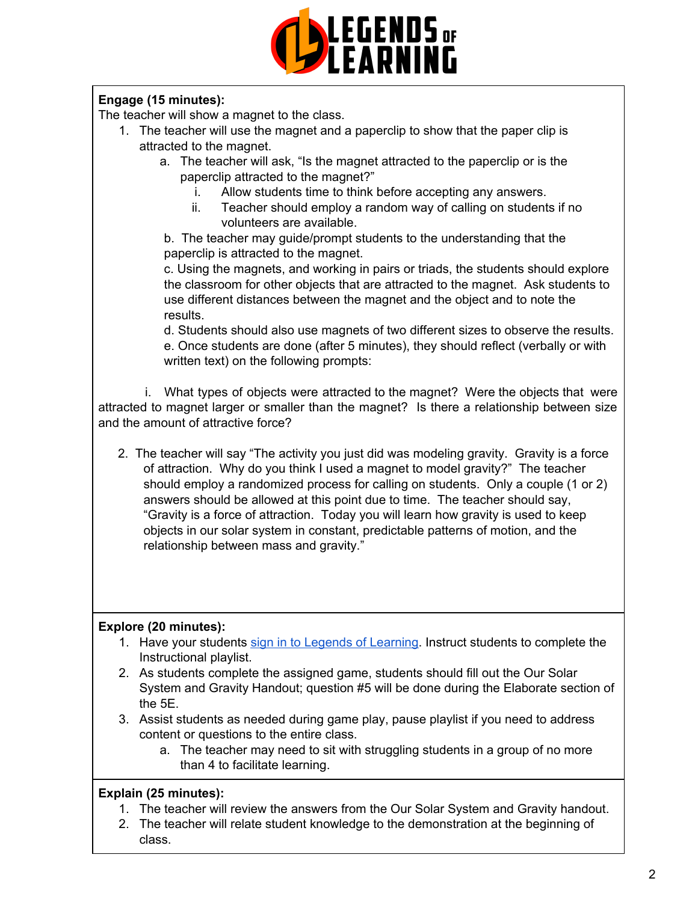

## **Engage (15 minutes):**

The teacher will show a magnet to the class.

- 1. The teacher will use the magnet and a paperclip to show that the paper clip is attracted to the magnet.
	- a. The teacher will ask, "Is the magnet attracted to the paperclip or is the paperclip attracted to the magnet?"
		- i. Allow students time to think before accepting any answers.
		- ii. Teacher should employ a random way of calling on students if no volunteers are available.

b. The teacher may guide/prompt students to the understanding that the paperclip is attracted to the magnet.

c. Using the magnets, and working in pairs or triads, the students should explore the classroom for other objects that are attracted to the magnet. Ask students to use different distances between the magnet and the object and to note the results.

d. Students should also use magnets of two different sizes to observe the results. e. Once students are done (after 5 minutes), they should reflect (verbally or with written text) on the following prompts:

i. What types of objects were attracted to the magnet? Were the objects that were attracted to magnet larger or smaller than the magnet? Is there a relationship between size and the amount of attractive force?

2. The teacher will say "The activity you just did was modeling gravity. Gravity is a force of attraction. Why do you think I used a magnet to model gravity?" The teacher should employ a randomized process for calling on students. Only a couple (1 or 2) answers should be allowed at this point due to time. The teacher should say, "Gravity is a force of attraction. Today you will learn how gravity is used to keep objects in our solar system in constant, predictable patterns of motion, and the relationship between mass and gravity."

#### **Explore (20 minutes):**

- 1. Have your students sign in to Legends of [Learning.](https://intercom.help/legends-of-learning/en/articles/2154920-students-joining-a-playlist) Instruct students to complete the Instructional playlist.
- 2. As students complete the assigned game, students should fill out the Our Solar System and Gravity Handout; question #5 will be done during the Elaborate section of the 5E.
- 3. Assist students as needed during game play, pause playlist if you need to address content or questions to the entire class.
	- a. The teacher may need to sit with struggling students in a group of no more than 4 to facilitate learning.

#### **Explain (25 minutes):**

- 1. The teacher will review the answers from the Our Solar System and Gravity handout.
- 2. The teacher will relate student knowledge to the demonstration at the beginning of class.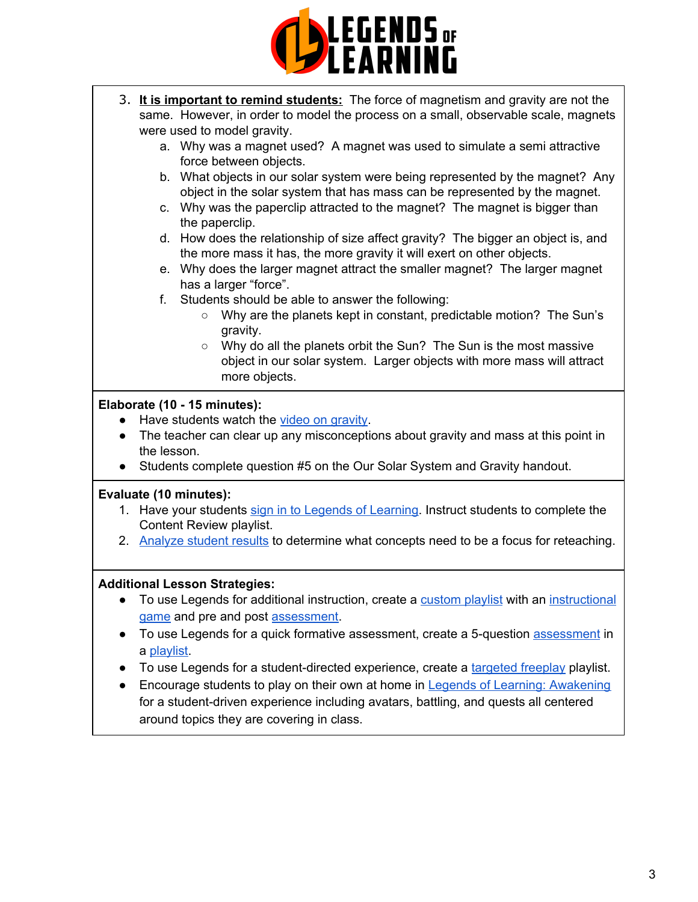

- 3. **It is important to remind students:** The force of magnetism and gravity are not the same. However, in order to model the process on a small, observable scale, magnets were used to model gravity.
	- a. Why was a magnet used? A magnet was used to simulate a semi attractive force between objects.
	- b. What objects in our solar system were being represented by the magnet? Any object in the solar system that has mass can be represented by the magnet.
	- c. Why was the paperclip attracted to the magnet? The magnet is bigger than the paperclip.
	- d. How does the relationship of size affect gravity? The bigger an object is, and the more mass it has, the more gravity it will exert on other objects.
	- e. Why does the larger magnet attract the smaller magnet? The larger magnet has a larger "force".
	- f. Students should be able to answer the following:
		- Why are the planets kept in constant, predictable motion? The Sun's gravity.
		- Why do all the planets orbit the Sun? The Sun is the most massive object in our solar system. Larger objects with more mass will attract more objects.

#### **Elaborate (10 - 15 minutes):**

- Have students watch the video on [gravity](https://www.youtube.com/watch?v=xICEt51A-Ac).
- The teacher can clear up any misconceptions about gravity and mass at this point in the lesson.
- Students complete question #5 on the Our Solar System and Gravity handout.

#### **Evaluate (10 minutes):**

- 1. Have your students sign in to Legends of [Learning.](https://intercom.help/legends-of-learning/en/articles/2154920-students-joining-a-playlist) Instruct students to complete the Content Review playlist.
- 2. [Analyze](https://intercom.help/legends-of-learning/en/articles/2154918-tracking-student-progress-and-performance) student results to determine what concepts need to be a focus for reteaching.

#### **Additional Lesson Strategies:**

- To use Legends for additional instruction, create a [custom](https://intercom.help/legends-of-learning/en/articles/2154910-creating-a-playlist) playlist with an [instructional](https://intercom.help/legends-of-learning/en/articles/3505828-types-of-games) [game](https://intercom.help/legends-of-learning/en/articles/3505828-types-of-games) and pre and post [assessment](https://intercom.help/legends-of-learning/en/articles/2154913-adding-assessments-to-a-playlist).
- To use Legends for a quick formative [assessment](https://intercom.help/legends-of-learning/en/articles/2154913-adding-assessments-to-a-playlist), create a 5-question assessment in a [playlist](https://intercom.help/legends-of-learning/en/articles/2154910-creating-a-playlist).
- To use Legends for a student-directed experience, create a [targeted](https://intercom.help/legends-of-learning/en/articles/3340814-targeted-freeplay) freeplay playlist.
- Encourage students to play on their own at home in Legends of Learning: [Awakening](https://intercom.help/legends-of-learning/en/articles/2425490-legends-of-learning-awakening) for a student-driven experience including avatars, battling, and quests all centered around topics they are covering in class.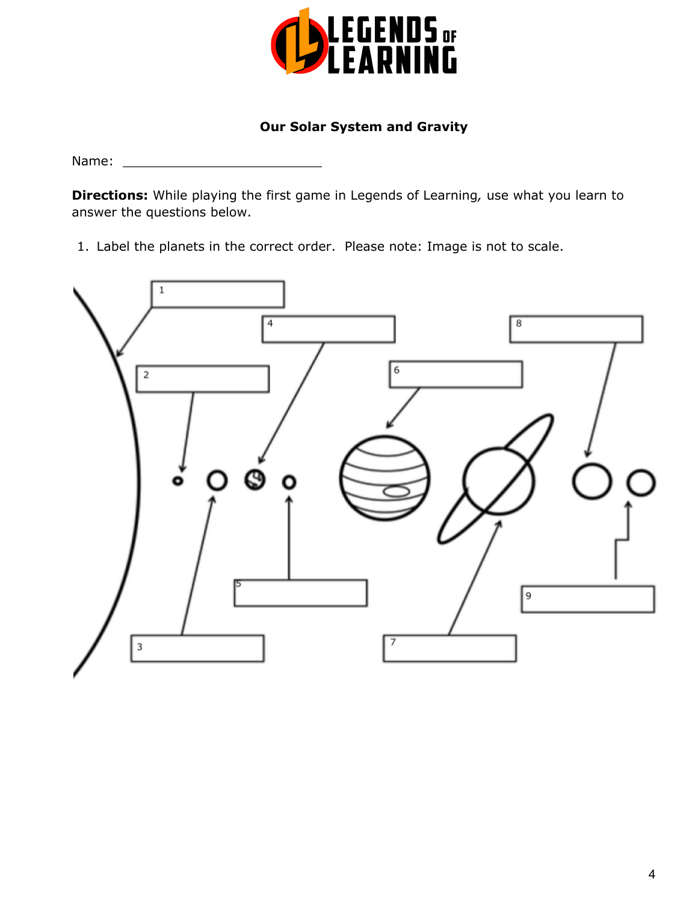

# **Our Solar System and Gravity**

Name: \_\_\_\_\_\_\_\_\_\_\_\_\_\_\_\_\_\_\_\_\_\_\_\_\_

**Directions:** While playing the first game in Legends of Learning*,* use what you learn to answer the questions below.

1. Label the planets in the correct order. Please note: Image is not to scale.